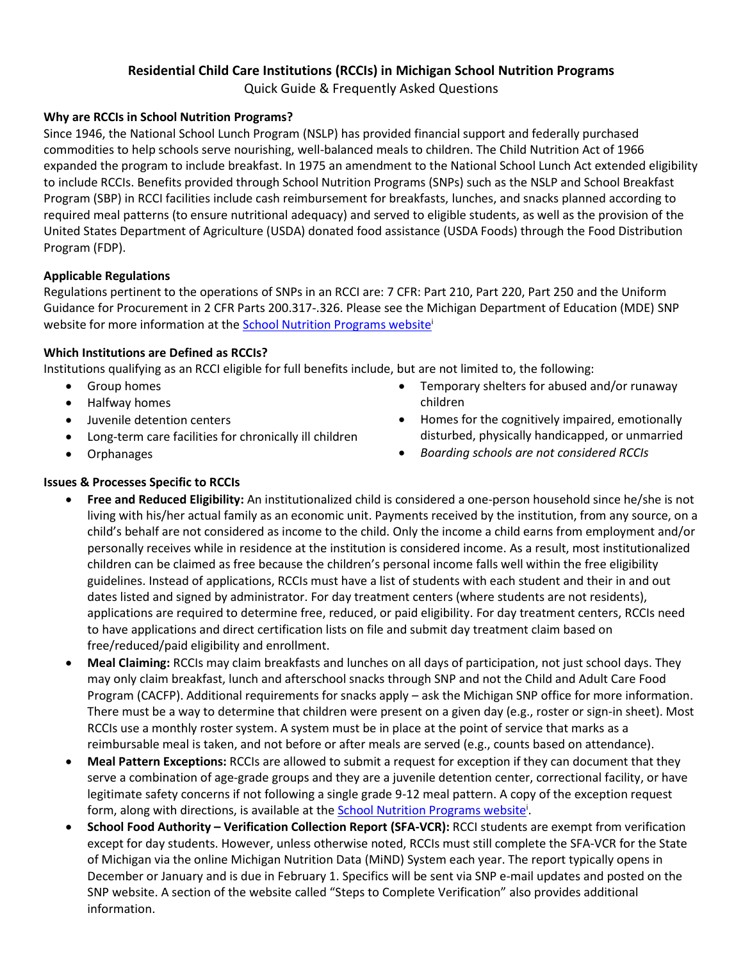# **Residential Child Care Institutions (RCCIs) in Michigan School Nutrition Programs**

Quick Guide & Frequently Asked Questions

## **Why are RCCIs in School Nutrition Programs?**

Since 1946, the National School Lunch Program (NSLP) has provided financial support and federally purchased commodities to help schools serve nourishing, well-balanced meals to children. The Child Nutrition Act of 1966 expanded the program to include breakfast. In 1975 an amendment to the National School Lunch Act extended eligibility to include RCCIs. Benefits provided through School Nutrition Programs (SNPs) such as the NSLP and School Breakfast Program (SBP) in RCCI facilities include cash reimbursement for breakfasts, lunches, and snacks planned according to required meal patterns (to ensure nutritional adequacy) and served to eligible students, as well as the provision of the United States Department of Agriculture (USDA) donated food assistance (USDA Foods) through the Food Distribution Program (FDP).

## **Applicable Regulations**

Regulations pertinent to the operations of SNPs in an RCCI are: 7 CFR: Part 210, Part 220, Part 250 and the Uniform Guidance for Procurement in 2 CFR Parts 200.317-.326. Please see the Michigan Department of Education (MDE) SNP website for more information at the **School Nutrition Programs website'** 

## **Which Institutions are Defined as RCCIs?**

Institutions qualifying as an RCCI eligible for full benefits include, but are not limited to, the following:

- Group homes
- Halfway homes
- Juvenile detention centers
- Long-term care facilities for chronically ill children
- Orphanages
- Temporary shelters for abused and/or runaway children
- Homes for the cognitively impaired, emotionally disturbed, physically handicapped, or unmarried
- *Boarding schools are not considered RCCIs*

## **Issues & Processes Specific to RCCIs**

- **Free and Reduced Eligibility:** An institutionalized child is considered a one-person household since he/she is not living with his/her actual family as an economic unit. Payments received by the institution, from any source, on a child's behalf are not considered as income to the child. Only the income a child earns from employment and/or personally receives while in residence at the institution is considered income. As a result, most institutionalized children can be claimed as free because the children's personal income falls well within the free eligibility guidelines. Instead of applications, RCCIs must have a list of students with each student and their in and out dates listed and signed by administrator. For day treatment centers (where students are not residents), applications are required to determine free, reduced, or paid eligibility. For day treatment centers, RCCIs need to have applications and direct certification lists on file and submit day treatment claim based on free/reduced/paid eligibility and enrollment.
- **Meal Claiming:** RCCIs may claim breakfasts and lunches on all days of participation, not just school days. They may only claim breakfast, lunch and afterschool snacks through SNP and not the Child and Adult Care Food Program (CACFP). Additional requirements for snacks apply – ask the Michigan SNP office for more information. There must be a way to determine that children were present on a given day (e.g., roster or sign-in sheet). Most RCCIs use a monthly roster system. A system must be in place at the point of service that marks as a reimbursable meal is taken, and not before or after meals are served (e.g., counts based on attendance).
- **Meal Pattern Exceptions:** RCCIs are allowed to submit a request for exception if they can document that they serve a combination of age-grade groups and they are a juvenile detention center, correctional facility, or have legitimate safety concerns if not following a single grade 9-12 meal pattern. A copy of the exception request form, along with directions, is available at the [School Nutrition Programs website](http://www.michigan.gov/schoolnutrition)<sup>i</sup>[.](http://www.michigan.gov/schoolnutrition)
- **School Food Authority – Verification Collection Report (SFA-VCR):** RCCI students are exempt from verification except for day students. However, unless otherwise noted, RCCIs must still complete the SFA-VCR for the State of Michigan via the online Michigan Nutrition Data (MiND) System each year. The report typically opens in December or January and is due in February 1. Specifics will be sent via SNP e-mail updates and posted on the SNP website. A section of the website called "Steps to Complete Verification" also provides additional information.